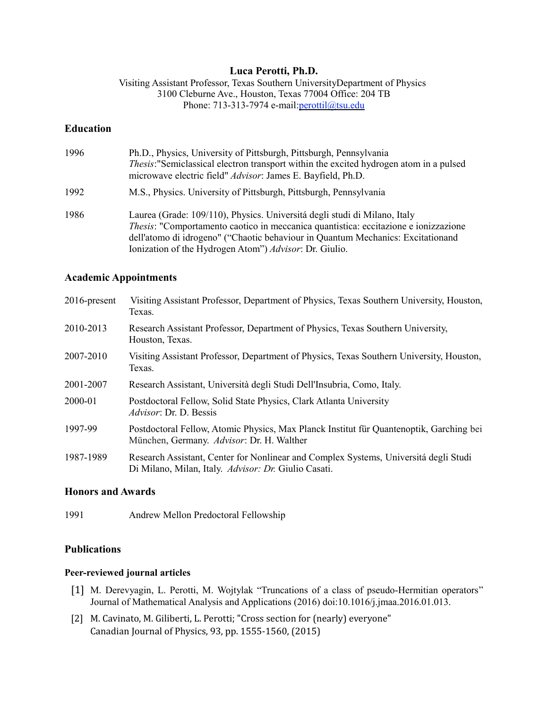### **Luca Perotti, Ph.D.**

Visiting Assistant Professor, Texas Southern UniversityDepartment of Physics 3100 Cleburne Ave., Houston, Texas 77004 Office: 204 TB Phone: 713-313-7974 e-mail: perottil@tsu.edu

## **Education**

| 1996 | Ph.D., Physics, University of Pittsburgh, Pittsburgh, Pennsylvania<br><i>Thesis:</i> "Semiclassical electron transport within the excited hydrogen atom in a pulsed<br>microwave electric field" <i>Advisor</i> : James E. Bayfield, Ph.D.                                                                                   |
|------|------------------------------------------------------------------------------------------------------------------------------------------------------------------------------------------------------------------------------------------------------------------------------------------------------------------------------|
| 1992 | M.S., Physics. University of Pittsburgh, Pittsburgh, Pennsylvania                                                                                                                                                                                                                                                            |
| 1986 | Laurea (Grade: 109/110), Physics. Universitá degli studi di Milano, Italy<br><i>Thesis:</i> "Comportamento caotico in meccanica quantistica: eccitazione e ionizzazione<br>dell'atomo di idrogeno" ("Chaotic behaviour in Quantum Mechanics: Excitationand<br>Ionization of the Hydrogen Atom") <i>Advisor</i> : Dr. Giulio. |

### **Academic Appointments**

| $2016$ -present | Visiting Assistant Professor, Department of Physics, Texas Southern University, Houston,<br>Texas.                                           |
|-----------------|----------------------------------------------------------------------------------------------------------------------------------------------|
| 2010-2013       | Research Assistant Professor, Department of Physics, Texas Southern University,<br>Houston, Texas.                                           |
| 2007-2010       | Visiting Assistant Professor, Department of Physics, Texas Southern University, Houston,<br>Texas.                                           |
| 2001-2007       | Research Assistant, Università degli Studi Dell'Insubria, Como, Italy.                                                                       |
| 2000-01         | Postdoctoral Fellow, Solid State Physics, Clark Atlanta University<br><i>Advisor</i> : Dr. D. Bessis                                         |
| 1997-99         | Postdoctoral Fellow, Atomic Physics, Max Planck Institut für Quantenoptik, Garching bei<br>München, Germany. Advisor: Dr. H. Walther         |
| 1987-1989       | Research Assistant, Center for Nonlinear and Complex Systems, Universitá degli Studi<br>Di Milano, Milan, Italy. Advisor: Dr. Giulio Casati. |

### **Honors and Awards**

1991 Andrew Mellon Predoctoral Fellowship

## **Publications**

### **Peer-reviewed journal articles**

- [1] M. Derevyagin, L. Perotti, M. Wojtylak "Truncations of a class of pseudo-Hermitian operators" Journal of Mathematical Analysis and Applications (2016) doi:10.1016/j.jmaa.2016.01.013.
- [2] M. Cavinato, M. Giliberti, L. Perotti; "Cross section for (nearly) everyone" Canadian Journal of Physics, 93, pp. 1555-1560, (2015)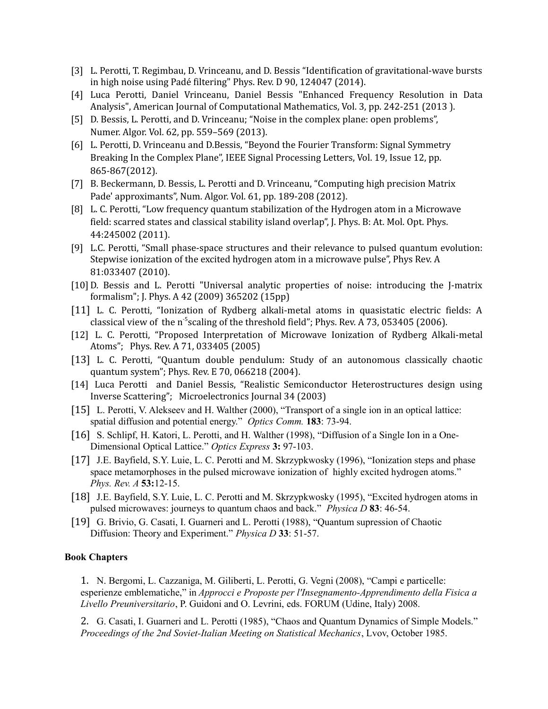- [3] L. Perotti, T. Regimbau, D. Vrinceanu, and D. Bessis "Identification of gravitational-wave bursts in high noise using Padé filtering" Phys. Rev. D 90, 124047 (2014).
- [4] Luca Perotti, Daniel Vrinceanu, Daniel Bessis "Enhanced Frequency Resolution in Data Analysis", American Journal of Computational Mathematics, Vol. 3, pp. 242-251 (2013 ).
- [5] D. Bessis, L. Perotti, and D. Vrinceanu; "Noise in the complex plane: open problems", Numer. Algor. Vol. 62, pp. 559–569 (2013).
- [6] L. Perotti, D. Vrinceanu and D.Bessis, "Beyond the Fourier Transform: Signal Symmetry Breaking In the Complex Plane", IEEE Signal Processing Letters, Vol. 19, Issue 12, pp. 865-867(2012).
- [7] B. Beckermann, D. Bessis, L. Perotti and D. Vrinceanu, "Computing high precision Matrix Pade' approximants", Num. Algor. Vol. 61, pp. 189-208 (2012).
- [8] L. C. Perotti, "Low frequency quantum stabilization of the Hydrogen atom in a Microwave field: scarred states and classical stability island overlap", J. Phys. B: At. Mol. Opt. Phys. 44:245002 (2011).
- [9] L.C. Perotti, "Small phase-space structures and their relevance to pulsed quantum evolution: Stepwise ionization of the excited hydrogen atom in a microwave pulse", Phys Rev. A 81:033407 (2010).
- [10]D. Bessis and L. Perotti "Universal analytic properties of noise: introducing the J-matrix formalism"; J. Phys. A 42 (2009) 365202 (15pp)
- [11] L. C. Perotti, "Ionization of Rydberg alkali-metal atoms in quasistatic electric fields: A classical view of the n<sup>-5</sup>scaling of the threshold field"; Phys. Rev. A 73, 053405 (2006).
- [12] L. C. Perotti, "Proposed Interpretation of Microwave Ionization of Rydberg Alkali-metal Atoms"; Phys. Rev. A 71, 033405 (2005)
- [13] L. C. Perotti, "Quantum double pendulum: Study of an autonomous classically chaotic quantum system"; Phys. Rev. E 70, 066218 (2004).
- [14] Luca Perotti and Daniel Bessis, "Realistic Semiconductor Heterostructures design using Inverse Scattering"; Microelectronics Journal 34 (2003)
- [15] L. Perotti, V. Alekseev and H. Walther (2000), "Transport of a single ion in an optical lattice: spatial diffusion and potential energy." *Optics Comm.* **183**: 73-94.
- [16] S. Schlipf, H. Katori, L. Perotti, and H. Walther (1998), "Diffusion of a Single Ion in a One-Dimensional Optical Lattice." *Optics Express* **3:** 97-103.
- [17] J.E. Bayfield, S.Y. Luie, L. C. Perotti and M. Skrzypkwosky (1996), "Ionization steps and phase space metamorphoses in the pulsed microwave ionization of highly excited hydrogen atoms." *Phys. Rev. A* **53:**12-15.
- [18] J.E. Bayfield, S.Y. Luie, L. C. Perotti and M. Skrzypkwosky (1995), "Excited hydrogen atoms in pulsed microwaves: journeys to quantum chaos and back." *Physica D* **83**: 46-54.
- [19] G. Brivio, G. Casati, I. Guarneri and L. Perotti (1988), "Quantum supression of Chaotic Diffusion: Theory and Experiment." *Physica D* **33**: 51-57.

### **Book Chapters**

1. N. Bergomi, L. Cazzaniga, M. Giliberti, L. Perotti, G. Vegni (2008), "Campi e particelle: esperienze emblematiche," in *Approcci e Proposte per l'Insegnamento-Apprendimento della Fisica a Livello Preuniversitario*, P. Guidoni and O. Levrini, eds. FORUM (Udine, Italy) 2008.

2. G. Casati, I. Guarneri and L. Perotti (1985), "Chaos and Quantum Dynamics of Simple Models." *Proceedings of the 2nd Soviet-Italian Meeting on Statistical Mechanics*, Lvov, October 1985.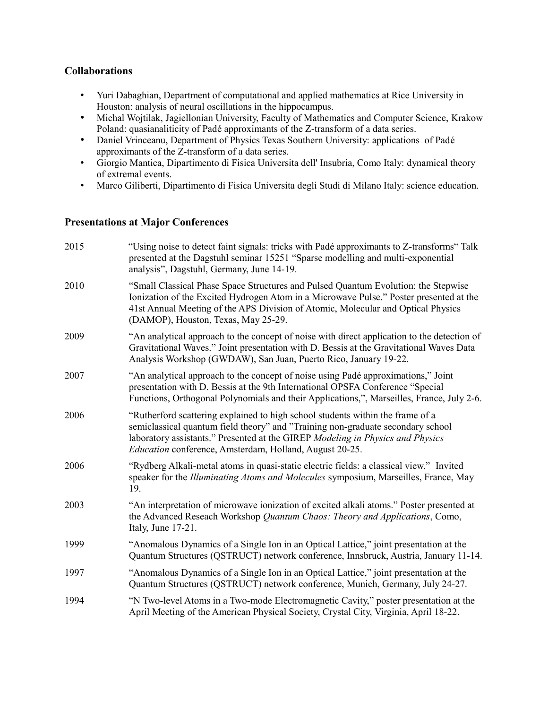## **Collaborations**

- Yuri Dabaghian, Department of computational and applied mathematics at Rice University in Houston: analysis of neural oscillations in the hippocampus.
- Michal Wojtilak, Jagiellonian University, Faculty of Mathematics and Computer Science, Krakow Poland: quasianaliticity of Padé approximants of the Z-transform of a data series.
- Daniel Vrinceanu, Department of Physics Texas Southern University: applications of Padé approximants of the Z-transform of a data series.
- Giorgio Mantica, Dipartimento di Fisica Universita dell' Insubria, Como Italy: dynamical theory of extremal events.
- Marco Giliberti, Dipartimento di Fisica Universita degli Studi di Milano Italy: science education.

# **Presentations at Major Conferences**

| 2015 | "Using noise to detect faint signals: tricks with Padé approximants to Z-transforms" Talk<br>presented at the Dagstuhl seminar 15251 "Sparse modelling and multi-exponential<br>analysis", Dagstuhl, Germany, June 14-19.                                                                                      |
|------|----------------------------------------------------------------------------------------------------------------------------------------------------------------------------------------------------------------------------------------------------------------------------------------------------------------|
| 2010 | "Small Classical Phase Space Structures and Pulsed Quantum Evolution: the Stepwise<br>Ionization of the Excited Hydrogen Atom in a Microwave Pulse." Poster presented at the<br>41st Annual Meeting of the APS Division of Atomic, Molecular and Optical Physics<br>(DAMOP), Houston, Texas, May 25-29.        |
| 2009 | "An analytical approach to the concept of noise with direct application to the detection of<br>Gravitational Waves." Joint presentation with D. Bessis at the Gravitational Waves Data<br>Analysis Workshop (GWDAW), San Juan, Puerto Rico, January 19-22.                                                     |
| 2007 | "An analytical approach to the concept of noise using Padé approximations," Joint<br>presentation with D. Bessis at the 9th International OPSFA Conference "Special<br>Functions, Orthogonal Polynomials and their Applications,", Marseilles, France, July 2-6.                                               |
| 2006 | "Rutherford scattering explained to high school students within the frame of a<br>semiclassical quantum field theory" and "Training non-graduate secondary school<br>laboratory assistants." Presented at the GIREP Modeling in Physics and Physics<br>Education conference, Amsterdam, Holland, August 20-25. |
| 2006 | "Rydberg Alkali-metal atoms in quasi-static electric fields: a classical view." Invited<br>speaker for the <i>Illuminating Atoms and Molecules</i> symposium, Marseilles, France, May<br>19.                                                                                                                   |
| 2003 | "An interpretation of microwave ionization of excited alkali atoms." Poster presented at<br>the Advanced Reseach Workshop Quantum Chaos: Theory and Applications, Como,<br>Italy, June 17-21.                                                                                                                  |
| 1999 | "Anomalous Dynamics of a Single Ion in an Optical Lattice," joint presentation at the<br>Quantum Structures (QSTRUCT) network conference, Innsbruck, Austria, January 11-14.                                                                                                                                   |
| 1997 | "Anomalous Dynamics of a Single Ion in an Optical Lattice," joint presentation at the<br>Quantum Structures (QSTRUCT) network conference, Munich, Germany, July 24-27.                                                                                                                                         |
| 1994 | "N Two-level Atoms in a Two-mode Electromagnetic Cavity," poster presentation at the<br>April Meeting of the American Physical Society, Crystal City, Virginia, April 18-22.                                                                                                                                   |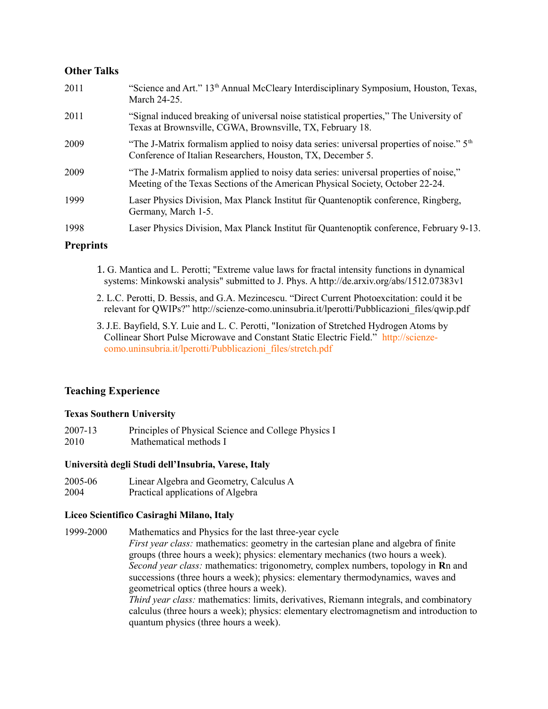## **Other Talks**

| 2011 | "Science and Art." 13 <sup>th</sup> Annual McCleary Interdisciplinary Symposium, Houston, Texas,<br>March 24-25.                                                        |
|------|-------------------------------------------------------------------------------------------------------------------------------------------------------------------------|
| 2011 | "Signal induced breaking of universal noise statistical properties," The University of<br>Texas at Brownsville, CGWA, Brownsville, TX, February 18.                     |
| 2009 | "The J-Matrix formalism applied to noisy data series: universal properties of noise." $5th$<br>Conference of Italian Researchers, Houston, TX, December 5.              |
| 2009 | "The J-Matrix formalism applied to noisy data series: universal properties of noise,"<br>Meeting of the Texas Sections of the American Physical Society, October 22-24. |
| 1999 | Laser Physics Division, Max Planck Institut für Quantenoptik conference, Ringberg,<br>Germany, March 1-5.                                                               |
| 1998 | Laser Physics Division, Max Planck Institut für Quantenoptik conference, February 9-13.                                                                                 |
|      |                                                                                                                                                                         |

## **Preprints**

- 1. G. Mantica and L. Perotti; "Extreme value laws for fractal intensity functions in dynamical systems: Minkowski analysis" submitted to J. Phys. A http://de.arxiv.org/abs/1512.07383v1
- 2. L.C. Perotti, D. Bessis, and G.A. Mezincescu. "Direct Current Photoexcitation: could it be relevant for QWIPs?" http://scienze-como.uninsubria.it/lperotti/Pubblicazioni\_files/qwip.pdf
- 3. J.E. Bayfield, S.Y. Luie and L. C. Perotti, "Ionization of Stretched Hydrogen Atoms by Collinear Short Pulse Microwave and Constant Static Electric Field." http://scienzecomo.uninsubria.it/lperotti/Pubblicazioni\_files/stretch.pdf

## **Teaching Experience**

### **Texas Southern University**

2007-13 Principles of Physical Science and College Physics I 2010 Mathematical methods I

## **Università degli Studi dell'Insubria, Varese, Italy**

2005-06 Linear Algebra and Geometry, Calculus A 2004 Practical applications of Algebra

### **Liceo Scientifico Casiraghi Milano, Italy**

1999-2000 Mathematics and Physics for the last three-year cycle *First year class:* mathematics: geometry in the cartesian plane and algebra of finite groups (three hours a week); physics: elementary mechanics (two hours a week). *Second year class:* mathematics: trigonometry, complex numbers, topology in **R**n and successions (three hours a week); physics: elementary thermodynamics, waves and geometrical optics (three hours a week). *Third year class:* mathematics: limits, derivatives, Riemann integrals, and combinatory calculus (three hours a week); physics: elementary electromagnetism and introduction to quantum physics (three hours a week).